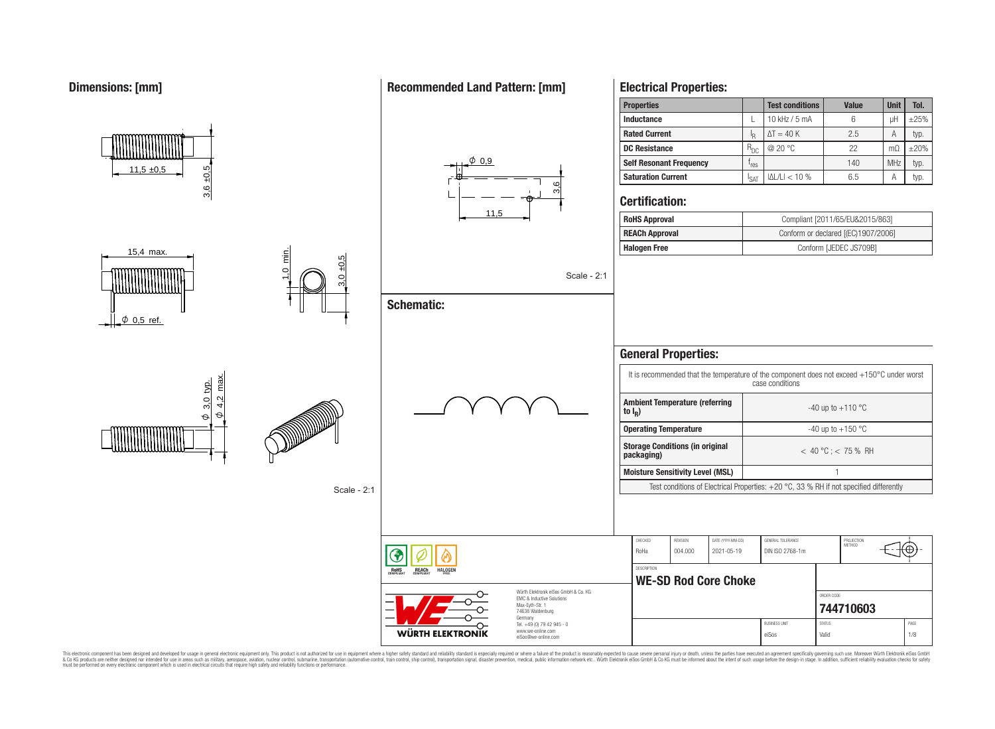### **Dimensions: [mm]**

#### **Properties Test conditions Value Unit Tol. Inductance**  $\left| \begin{array}{ccc} \text{L} & 10 \text{ kHz} / 5 \text{ mA} & 6 \end{array} \right|$   $\left| \begin{array}{ccc} \text{L} & 1 \end{array} \right|$ **Rated Current** I I<sub>R</sub>  $\Delta T = 40 \text{ K}$  2.5 A typ. **DC Resistance** R<sub>DC</sub> | @ 20 °C 22 MΩ ±20%  $\phi$  0.9 **Self Resonant Frequency** | f<sub>res</sub>  $r_{res}$  140 MHz typ.  $11.5 + 0.5$ 3,6 ±0,5  $|\Delta L/L| < 10\%$  6.5 A typ. **Saturation Current**  $\left| \right|_{\text{SAT}}$ 3,6 **Certification:**  $11$ **RoHS Approval Compliant [2011/65/EU&2015/863] REACh Approval** Conform or declared [(EC)1907/2006] **Halogen Free Conform [JEDEC JS709B]** 15,4 max. 1,0 min.  $0 + 0,5$ Scale - 2:1 **Schematic:**  $\phi$  0,5 ref. **General Properties:** It is recommended that the temperature of the component does not exceed +150°C under worst  $\frac{\psi}{4}$ ,  $\frac{2}{2}$  max. case conditions  $\frac{\varphi}{\sqrt{3}}$ . typ. <u>ଧ୍</u> **Ambient Temperature (referring** <u>ଗ୍</u>  $-40$  up to  $+110$  °C **to I<sup>R</sup> )**  $\vartheta$  $\Theta$ **Operating Temperature discriming Temperature**  $-40 \text{ up to } +150 \text{ °C}$ **Storage Conditions (in original packaging)** < 40 °C ; < 75 % RH **Moisture Sensitivity Level (MSL)** 1 Test conditions of Electrical Properties: +20 °C, 33 % RH if not specified differently Scale - 2:1 CHECKED REVISION DATE (YYYY-MM-DD) GENERAL TOLERANCE PROJECTION<br>METHOD Έ RoHa 004.000 2021-05-19 DIN ISO 2768-1m **DESCRIPTION** RoHS **HALOGEI REACh WE-SD Rod Core Choke** Würth Elektronik eiSos GmbH & Co. KG ORDER CODE EMC & Inductive Solutions Max-Eyth-Str. 1 **[744710603](https://www.we-online.com/catalog/en/article/744710603)** 74638 Waldenburg Germany Tel. +49 (0) 79 42 945 - 0 BUSINESS UNIT STATUS STATUS STATUS AND STATUS AND STATUS STATUS STATUS AND STATUS STATUS STATUS STATUS AND STATUS STATUS AND LOCAL AND A STATUS AND LOCAL AND A STATUS AND LOCAL AND A STATUS AND LOCAL AND LOCAL AND LOCAL AN www.we-online.com **WÜRTH ELEKTRONIK** eiSos Valid 1/8 eiSos@we-online.com

This electronic component has been designed and developed for usage in general electronic equipment only. This product is not authorized for use in equipment where a higher safely standard and reliability standard si espec & Ook product a label and the membed of the seasuch as marked and as which such a membed and the such assume that income in the seasuch and the simulation and the such assume that include to the such a membed and the such

### **Recommended Land Pattern: [mm]**

**Electrical Properties:**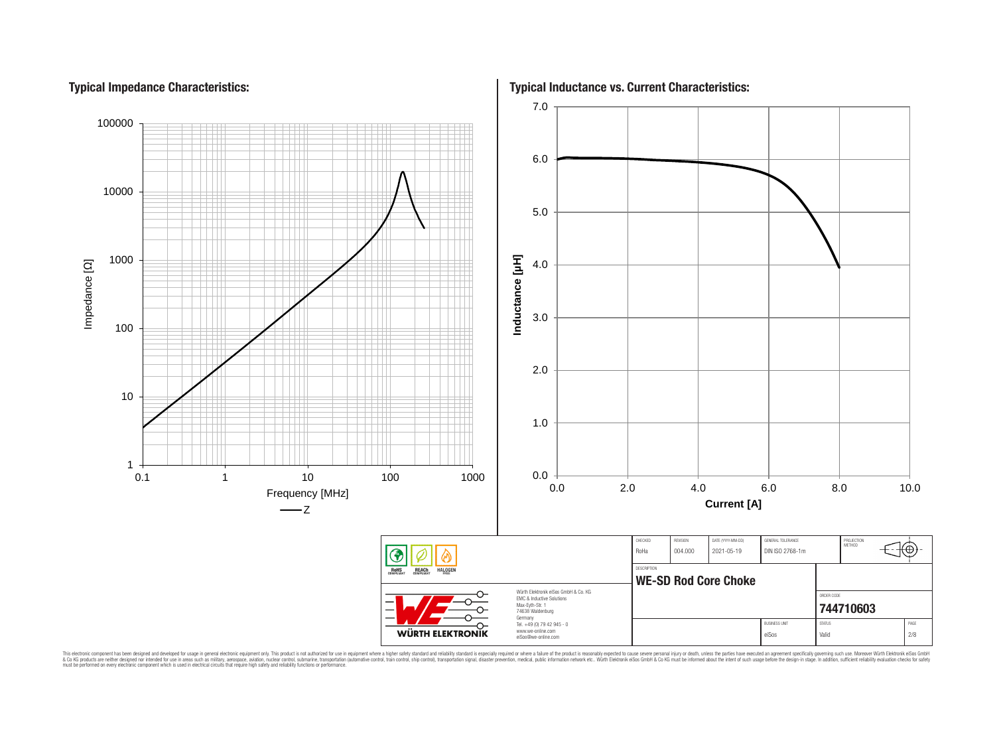# **Typical Impedance Characteristics:**



This electronic component has been designed and developed for usage in general electronic equipment only. This product is not authorized for subserved requipment where a higher selection equipment where a higher selection

**Typical Inductance vs. Current Characteristics:**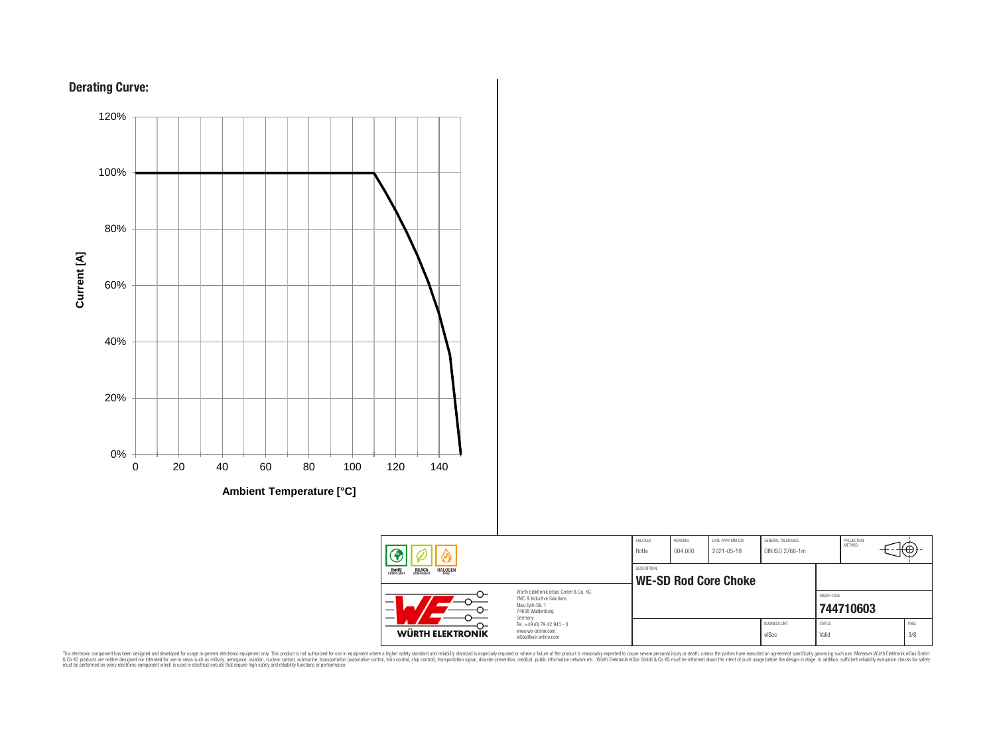



**Ambient Temperature [°C]**

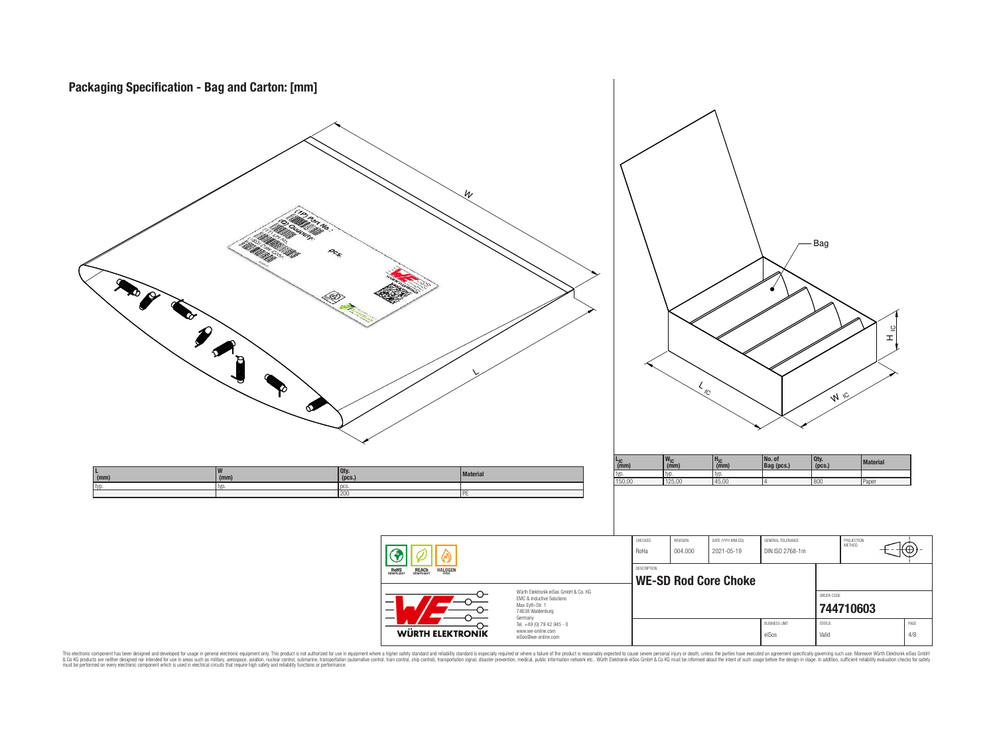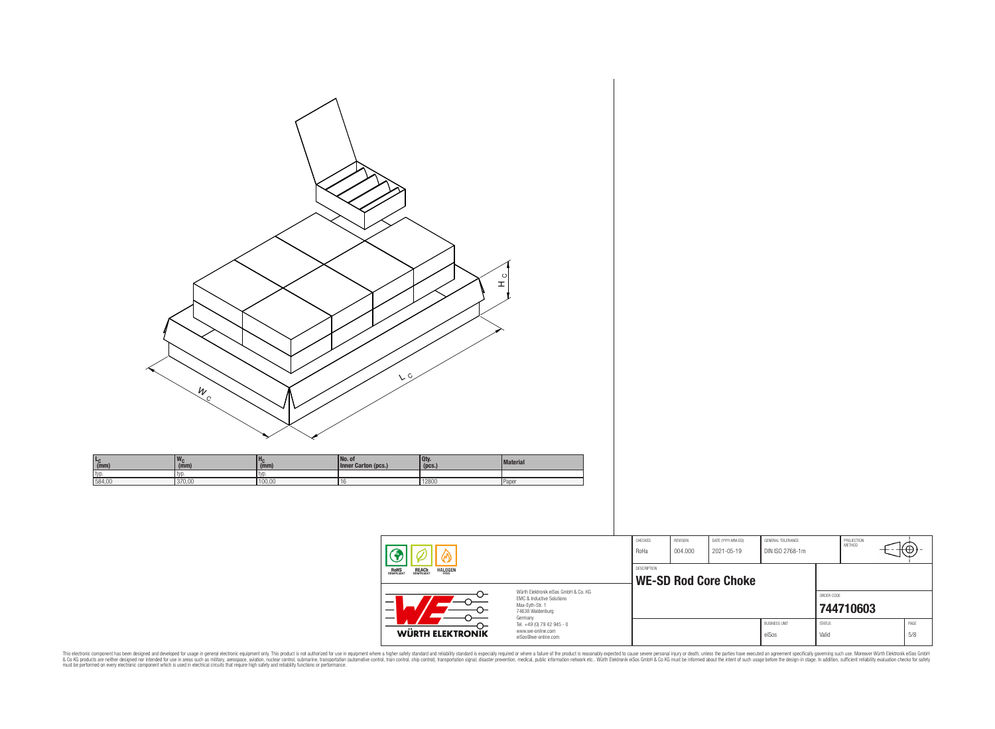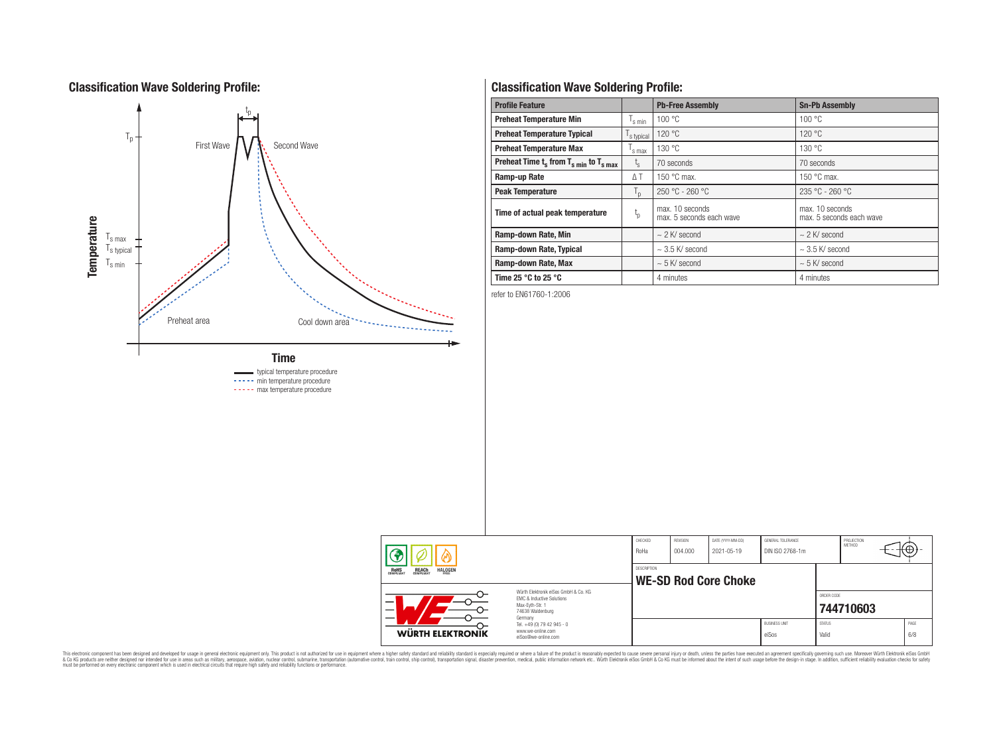# **Classification Wave Soldering Profile:**



# **Classification Wave Soldering Profile:**

| <b>Profile Feature</b>                             |                             | <b>Pb-Free Assembly</b>                     | <b>Sn-Pb Assembly</b>                       |  |  |  |
|----------------------------------------------------|-----------------------------|---------------------------------------------|---------------------------------------------|--|--|--|
| <b>Preheat Temperature Min</b>                     | <sup>I</sup> s min          | 100 °C                                      | 100 °C                                      |  |  |  |
| <b>Preheat Temperature Typical</b><br>s typical    |                             | 120 °C                                      | 120 °C                                      |  |  |  |
| <b>Preheat Temperature Max</b>                     |                             | 130 °C                                      | 130 °C                                      |  |  |  |
| Preheat Time $t_s$ from $T_{s,min}$ to $T_{s,max}$ | ι <sub>ς</sub>              | 70 seconds                                  | 70 seconds                                  |  |  |  |
| Ramp-up Rate                                       | ΔΤ                          | 150 $\degree$ C max.                        | 150 $\degree$ C max.                        |  |  |  |
| <b>Peak Temperature</b>                            | $T_{\mathsf{D}}$            | $250 °C - 260 °C$                           | $235 °C - 260 °C$                           |  |  |  |
| Time of actual peak temperature                    | $\mathfrak{t}_{\mathrm{p}}$ | max. 10 seconds<br>max. 5 seconds each wave | max. 10 seconds<br>max. 5 seconds each wave |  |  |  |
| Ramp-down Rate, Min                                |                             | $\sim$ 2 K/ second                          | $\sim$ 2 K/ second                          |  |  |  |
| Ramp-down Rate, Typical                            |                             | $\sim$ 3.5 K/ second                        | $\sim$ 3.5 K/ second                        |  |  |  |
| Ramp-down Rate, Max                                |                             | $\sim$ 5 K/ second                          | $\sim$ 5 K/ second                          |  |  |  |
| Time 25 $^{\circ}$ C to 25 $^{\circ}$ C            |                             | 4 minutes                                   | 4 minutes                                   |  |  |  |

refer to EN61760-1:2006

|                                                                                                                                                                                         |                                                                        | CHECKED<br>RoHa | REVISION<br>004.000         | DATE (YYYY-MM-DD)<br>2021-05-19 | GENERAL TOLERANCE<br>DIN ISO 2768-1m |                        | PROJECTION<br><b>METHOD</b> |  | ₩           |  |  |
|-----------------------------------------------------------------------------------------------------------------------------------------------------------------------------------------|------------------------------------------------------------------------|-----------------|-----------------------------|---------------------------------|--------------------------------------|------------------------|-----------------------------|--|-------------|--|--|
| ROHS<br>COMPLIANT<br><b>REACH</b><br>COMPLIANT<br><b>HALOGEN</b><br>Würth Elektronik eiSos GmbH & Co. KG<br>EMC & Inductive Solutions<br>Max-Evth-Str. 1<br>74638 Waldenburg<br>Germany |                                                                        | DESCRIPTION     | <b>WE-SD Rod Core Choke</b> |                                 |                                      |                        |                             |  |             |  |  |
|                                                                                                                                                                                         |                                                                        |                 |                             |                                 |                                      | ORDER CODE             | 744710603                   |  |             |  |  |
| WÜRTH ELEKTRONIK                                                                                                                                                                        | Tel. +49 (0) 79 42 945 - 0<br>www.we-online.com<br>eiSos@we-online.com |                 |                             |                                 | <b>BUSINESS UNIT</b><br>eiSos        | <b>STATUS</b><br>Valid |                             |  | PAGE<br>6/8 |  |  |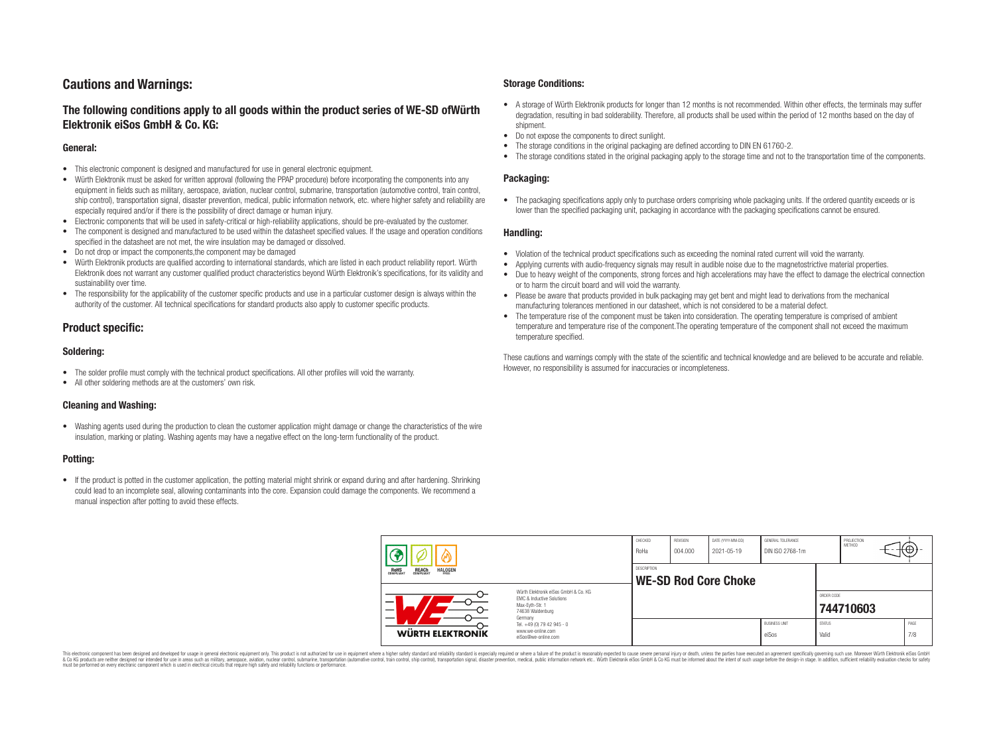# **Cautions and Warnings:**

## **The following conditions apply to all goods within the product series of WE-SD ofWürth Elektronik eiSos GmbH & Co. KG:**

#### **General:**

- This electronic component is designed and manufactured for use in general electronic equipment.
- Würth Elektronik must be asked for written approval (following the PPAP procedure) before incorporating the components into any equipment in fields such as military, aerospace, aviation, nuclear control, submarine, transportation (automotive control, train control, ship control), transportation signal, disaster prevention, medical, public information network, etc. where higher safety and reliability are especially required and/or if there is the possibility of direct damage or human injury.
- Electronic components that will be used in safety-critical or high-reliability applications, should be pre-evaluated by the customer.
- The component is designed and manufactured to be used within the datasheet specified values. If the usage and operation conditions specified in the datasheet are not met, the wire insulation may be damaged or dissolved.
- Do not drop or impact the components,the component may be damaged
- Würth Elektronik products are qualified according to international standards, which are listed in each product reliability report. Würth Elektronik does not warrant any customer qualified product characteristics beyond Würth Elektronik's specifications, for its validity and sustainability over time.
- The responsibility for the applicability of the customer specific products and use in a particular customer design is always within the authority of the customer. All technical specifications for standard products also apply to customer specific products.

### **Product specific:**

#### **Soldering:**

- The solder profile must comply with the technical product specifications. All other profiles will void the warranty.
- All other soldering methods are at the customers' own risk.

#### **Cleaning and Washing:**

• Washing agents used during the production to clean the customer application might damage or change the characteristics of the wire insulation, marking or plating. Washing agents may have a negative effect on the long-term functionality of the product.

#### **Potting:**

• If the product is potted in the customer application, the potting material might shrink or expand during and after hardening. Shrinking could lead to an incomplete seal, allowing contaminants into the core. Expansion could damage the components. We recommend a manual inspection after potting to avoid these effects.

#### **Storage Conditions:**

- A storage of Würth Elektronik products for longer than 12 months is not recommended. Within other effects, the terminals may suffer degradation, resulting in bad solderability. Therefore, all products shall be used within the period of 12 months based on the day of shipment.
- Do not expose the components to direct sunlight.<br>• The storage conditions in the original packaging
- The storage conditions in the original packaging are defined according to DIN EN 61760-2.
- The storage conditions stated in the original packaging apply to the storage time and not to the transportation time of the components.

#### **Packaging:**

• The packaging specifications apply only to purchase orders comprising whole packaging units. If the ordered quantity exceeds or is lower than the specified packaging unit, packaging in accordance with the packaging specifications cannot be ensured.

#### **Handling:**

- Violation of the technical product specifications such as exceeding the nominal rated current will void the warranty.
- Applying currents with audio-frequency signals may result in audible noise due to the magnetostrictive material properties.
- Due to heavy weight of the components, strong forces and high accelerations may have the effect to damage the electrical connection or to harm the circuit board and will void the warranty.
- Please be aware that products provided in bulk packaging may get bent and might lead to derivations from the mechanical manufacturing tolerances mentioned in our datasheet, which is not considered to be a material defect.
- The temperature rise of the component must be taken into consideration. The operating temperature is comprised of ambient temperature and temperature rise of the component.The operating temperature of the component shall not exceed the maximum temperature specified.

These cautions and warnings comply with the state of the scientific and technical knowledge and are believed to be accurate and reliable. However, no responsibility is assumed for inaccuracies or incompleteness.

|  |                                                                                                                                                                                                                 |                                                                        | CHECKED<br>RoHa    | REVISION<br>004.000 | DATE (YYYY-MM-DD)<br>2021-05-19 | GENERAL TOLERANCE<br>DIN ISO 2768-1m |                        | PROJECTION<br><b>METHOD</b> | ा∖⊕≀-       |
|--|-----------------------------------------------------------------------------------------------------------------------------------------------------------------------------------------------------------------|------------------------------------------------------------------------|--------------------|---------------------|---------------------------------|--------------------------------------|------------------------|-----------------------------|-------------|
|  | <b>ROHS</b><br>COMPLIANT<br>REACH<br>COMPLIANT<br><b>HALOGEN</b><br>FRFF<br>Würth Elektronik eiSos GmbH & Co. KG<br><b>EMC &amp; Inductive Solutions</b><br>_<br>Max-Eyth-Str. 1<br>74638 Waldenburg<br>Germany |                                                                        | <b>DESCRIPTION</b> |                     | WE-SD Rod Core Choke            |                                      |                        |                             |             |
|  |                                                                                                                                                                                                                 |                                                                        |                    |                     |                                 |                                      | ORDER CODE             | 744710603                   |             |
|  | WÜRTH ELEKTRONIK                                                                                                                                                                                                | Tel. +49 (0) 79 42 945 - 0<br>www.we-online.com<br>eiSos@we-online.com |                    |                     |                                 | <b>BUSINESS UNIT</b><br>eiSos        | <b>STATUS</b><br>Valid |                             | PAGE<br>7/8 |

This electronic component has been designed and developed for usage in general electronic equipment only. This product is not authorized for use in equipment where a higher safety standard and reliability standard si espec & Ook product a label and the membed of the seasuch as marked and as which such a membed and the such assume that income in the seasuch and the simulation and the such assume that include to the such a membed and the such